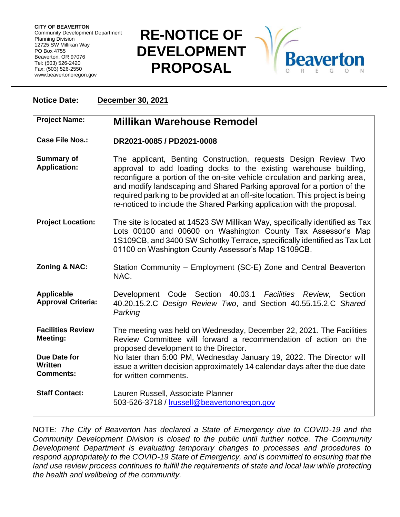**CITY OF BEAVERTON** Community Development Department Planning Division 12725 SW Millikan Way PO Box 4755 Beaverton, OR 97076 Tel: (503) 526-2420 Fax: (503) 526-2550 www.beavertonoregon.gov

## **RE-NOTICE OF DEVELOPMENT PROPOSAL**



## **Notice Date: December 30, 2021**

| <b>Project Name:</b>                               | <b>Millikan Warehouse Remodel</b>                                                                                                                                                                                                                                                                                                                                                                                                                          |
|----------------------------------------------------|------------------------------------------------------------------------------------------------------------------------------------------------------------------------------------------------------------------------------------------------------------------------------------------------------------------------------------------------------------------------------------------------------------------------------------------------------------|
| <b>Case File Nos.:</b>                             | DR2021-0085 / PD2021-0008                                                                                                                                                                                                                                                                                                                                                                                                                                  |
| <b>Summary of</b><br><b>Application:</b>           | The applicant, Benting Construction, requests Design Review Two<br>approval to add loading docks to the existing warehouse building,<br>reconfigure a portion of the on-site vehicle circulation and parking area,<br>and modify landscaping and Shared Parking approval for a portion of the<br>required parking to be provided at an off-site location. This project is being<br>re-noticed to include the Shared Parking application with the proposal. |
| <b>Project Location:</b>                           | The site is located at 14523 SW Millikan Way, specifically identified as Tax<br>Lots 00100 and 00600 on Washington County Tax Assessor's Map<br>1S109CB, and 3400 SW Schottky Terrace, specifically identified as Tax Lot<br>01100 on Washington County Assessor's Map 1S109CB.                                                                                                                                                                            |
| <b>Zoning &amp; NAC:</b>                           | Station Community – Employment (SC-E) Zone and Central Beaverton<br>NAC.                                                                                                                                                                                                                                                                                                                                                                                   |
| <b>Applicable</b><br><b>Approval Criteria:</b>     | Development Code Section 40.03.1 Facilities Review, Section<br>40.20.15.2.C Design Review Two, and Section 40.55.15.2.C Shared<br>Parking                                                                                                                                                                                                                                                                                                                  |
| <b>Facilities Review</b><br>Meeting:               | The meeting was held on Wednesday, December 22, 2021. The Facilities<br>Review Committee will forward a recommendation of action on the<br>proposed development to the Director.                                                                                                                                                                                                                                                                           |
| Due Date for<br><b>Written</b><br><b>Comments:</b> | No later than 5:00 PM, Wednesday January 19, 2022. The Director will<br>issue a written decision approximately 14 calendar days after the due date<br>for written comments.                                                                                                                                                                                                                                                                                |
| <b>Staff Contact:</b>                              | Lauren Russell, Associate Planner<br>503-526-3718 / Irussell@beavertonoregon.gov                                                                                                                                                                                                                                                                                                                                                                           |

NOTE: *The City of Beaverton has declared a State of Emergency due to COVID-19 and the Community Development Division is closed to the public until further notice. The Community Development Department is evaluating temporary changes to processes and procedures to respond appropriately to the COVID-19 State of Emergency, and is committed to ensuring that the*  land use review process continues to fulfill the requirements of state and local law while protecting *the health and wellbeing of the community.*